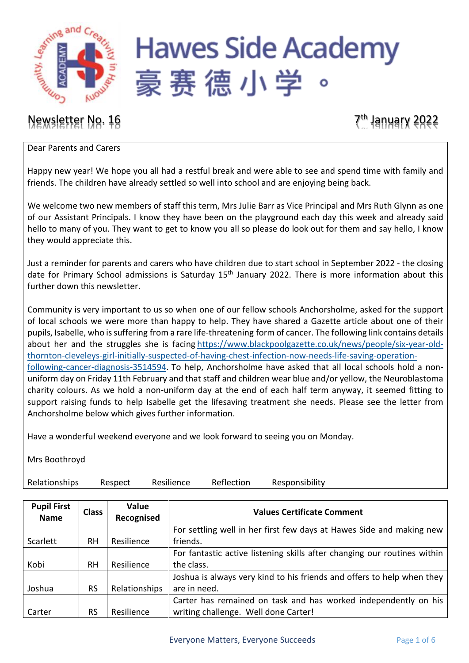

# **Hawes Side Academy** 豪赛德小学

## Newsletter No. 16 7th January 2022

### Dear Parents and Carers

Happy new year! We hope you all had a restful break and were able to see and spend time with family and friends. The children have already settled so well into school and are enjoying being back.

We welcome two new members of staff this term, Mrs Julie Barr as Vice Principal and Mrs Ruth Glynn as one of our Assistant Principals. I know they have been on the playground each day this week and already said hello to many of you. They want to get to know you all so please do look out for them and say hello, I know they would appreciate this.

Just a reminder for parents and carers who have children due to start school in September 2022 - the closing date for Primary School admissions is Saturday 15<sup>th</sup> January 2022. There is more information about this further down this newsletter.

Community is very important to us so when one of our fellow schools Anchorsholme, asked for the support of local schools we were more than happy to help. They have shared a Gazette article about one of their pupils, Isabelle, who is suffering from a rare life-threatening form of cancer. The following link contains details about her and the struggles she is facing [https://www.blackpoolgazette.co.uk/news/people/six-year-old](https://www.blackpoolgazette.co.uk/news/people/six-year-old-thornton-cleveleys-girl-initially-suspected-of-having-chest-infection-now-needs-life-saving-operation-following-cancer-diagnosis-3514594)[thornton-cleveleys-girl-initially-suspected-of-having-chest-infection-now-needs-life-saving-operation](https://www.blackpoolgazette.co.uk/news/people/six-year-old-thornton-cleveleys-girl-initially-suspected-of-having-chest-infection-now-needs-life-saving-operation-following-cancer-diagnosis-3514594)[following-cancer-diagnosis-3514594.](https://www.blackpoolgazette.co.uk/news/people/six-year-old-thornton-cleveleys-girl-initially-suspected-of-having-chest-infection-now-needs-life-saving-operation-following-cancer-diagnosis-3514594) To help, Anchorsholme have asked that all local schools hold a non-

uniform day on Friday 11th February and that staff and children wear blue and/or yellow, the Neuroblastoma charity colours. As we hold a non-uniform day at the end of each half term anyway, it seemed fitting to support raising funds to help Isabelle get the lifesaving treatment she needs. Please see the letter from Anchorsholme below which gives further information.

Have a wonderful weekend everyone and we look forward to seeing you on Monday.

Mrs Boothroyd

Relationships Respect Resilience Reflection Responsibility

| <b>Pupil First</b><br><b>Name</b> | <b>Class</b> | Value<br>Recognised | <b>Values Certificate Comment</b>                                        |  |
|-----------------------------------|--------------|---------------------|--------------------------------------------------------------------------|--|
|                                   |              |                     | For settling well in her first few days at Hawes Side and making new     |  |
| Scarlett                          | RH           | Resilience          | friends.                                                                 |  |
|                                   |              |                     | For fantastic active listening skills after changing our routines within |  |
| Kobi                              | <b>RH</b>    | Resilience          | the class.                                                               |  |
|                                   |              |                     | Joshua is always very kind to his friends and offers to help when they   |  |
| Joshua                            | <b>RS</b>    | Relationships       | are in need.                                                             |  |
|                                   |              |                     | Carter has remained on task and has worked independently on his          |  |
| Carter                            | <b>RS</b>    | Resilience          | writing challenge. Well done Carter!                                     |  |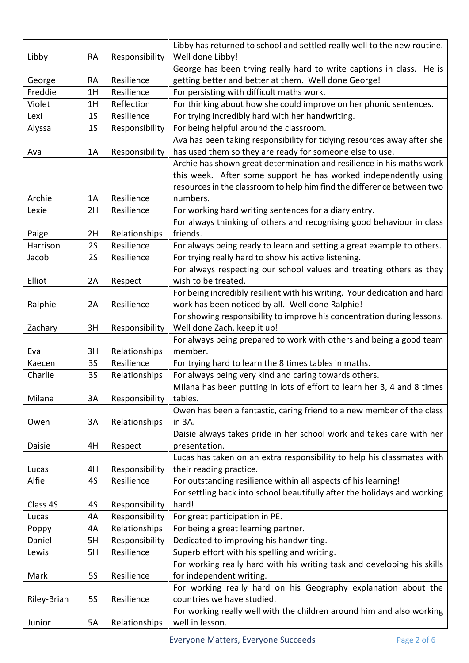|             |                            |                | Libby has returned to school and settled really well to the new routine.  |  |  |  |  |
|-------------|----------------------------|----------------|---------------------------------------------------------------------------|--|--|--|--|
| Libby       | <b>RA</b>                  | Responsibility | Well done Libby!                                                          |  |  |  |  |
|             |                            |                | George has been trying really hard to write captions in class. He is      |  |  |  |  |
| George      | <b>RA</b>                  | Resilience     | getting better and better at them. Well done George!                      |  |  |  |  |
| Freddie     | 1H                         | Resilience     | For persisting with difficult maths work.                                 |  |  |  |  |
| Violet      | 1H                         | Reflection     | For thinking about how she could improve on her phonic sentences.         |  |  |  |  |
| Lexi        | 1 <sub>S</sub>             | Resilience     | For trying incredibly hard with her handwriting.                          |  |  |  |  |
| Alyssa      | 1S                         | Responsibility | For being helpful around the classroom.                                   |  |  |  |  |
|             |                            |                | Ava has been taking responsibility for tidying resources away after she   |  |  |  |  |
| Ava         | 1A                         | Responsibility | has used them so they are ready for someone else to use.                  |  |  |  |  |
|             |                            |                | Archie has shown great determination and resilience in his maths work     |  |  |  |  |
|             |                            |                | this week. After some support he has worked independently using           |  |  |  |  |
|             |                            |                | resources in the classroom to help him find the difference between two    |  |  |  |  |
| Archie      | 1A                         | Resilience     | numbers.                                                                  |  |  |  |  |
| Lexie       | 2H                         | Resilience     | For working hard writing sentences for a diary entry.                     |  |  |  |  |
|             |                            |                | For always thinking of others and recognising good behaviour in class     |  |  |  |  |
| Paige       | 2H                         | Relationships  | friends.                                                                  |  |  |  |  |
| Harrison    | 2S                         | Resilience     | For always being ready to learn and setting a great example to others.    |  |  |  |  |
| Jacob       | <b>2S</b>                  | Resilience     | For trying really hard to show his active listening.                      |  |  |  |  |
|             |                            |                | For always respecting our school values and treating others as they       |  |  |  |  |
| Elliot      | 2A                         | Respect        | wish to be treated.                                                       |  |  |  |  |
|             |                            |                | For being incredibly resilient with his writing. Your dedication and hard |  |  |  |  |
| Ralphie     | 2A                         | Resilience     | work has been noticed by all. Well done Ralphie!                          |  |  |  |  |
|             |                            |                | For showing responsibility to improve his concentration during lessons.   |  |  |  |  |
| Zachary     | 3H                         | Responsibility | Well done Zach, keep it up!                                               |  |  |  |  |
|             |                            |                | For always being prepared to work with others and being a good team       |  |  |  |  |
| Eva         | 3H                         | Relationships  | member.                                                                   |  |  |  |  |
| Kaecen      | <b>3S</b>                  | Resilience     | For trying hard to learn the 8 times tables in maths.                     |  |  |  |  |
| Charlie     | <b>3S</b>                  | Relationships  | For always being very kind and caring towards others.                     |  |  |  |  |
|             |                            |                | Milana has been putting in lots of effort to learn her 3, 4 and 8 times   |  |  |  |  |
| Milana      | 3A                         | Responsibility | tables.                                                                   |  |  |  |  |
|             |                            |                | Owen has been a fantastic, caring friend to a new member of the class     |  |  |  |  |
| Owen        | 3A                         | Relationships  | in 3A.                                                                    |  |  |  |  |
|             |                            |                | Daisie always takes pride in her school work and takes care with her      |  |  |  |  |
| Daisie      | 4H                         | Respect        | presentation.                                                             |  |  |  |  |
|             |                            |                | Lucas has taken on an extra responsibility to help his classmates with    |  |  |  |  |
| Lucas       | 4H                         | Responsibility | their reading practice.                                                   |  |  |  |  |
| Alfie       | 4S                         | Resilience     | For outstanding resilience within all aspects of his learning!            |  |  |  |  |
|             |                            |                | For settling back into school beautifully after the holidays and working  |  |  |  |  |
| Class 4S    | 4S                         | Responsibility | hard!                                                                     |  |  |  |  |
| Lucas       | 4A                         | Responsibility | For great participation in PE.                                            |  |  |  |  |
| Poppy       | 4A                         | Relationships  | For being a great learning partner.                                       |  |  |  |  |
| Daniel      | 5H                         | Responsibility | Dedicated to improving his handwriting.                                   |  |  |  |  |
| Lewis       | 5H                         | Resilience     | Superb effort with his spelling and writing.                              |  |  |  |  |
|             |                            |                | For working really hard with his writing task and developing his skills   |  |  |  |  |
| Mark        | <b>5S</b>                  | Resilience     | for independent writing.                                                  |  |  |  |  |
|             | countries we have studied. |                | For working really hard on his Geography explanation about the            |  |  |  |  |
| Riley-Brian | <b>5S</b>                  | Resilience     |                                                                           |  |  |  |  |
|             |                            |                | For working really well with the children around him and also working     |  |  |  |  |
| Junior      | 5A                         | Relationships  | well in lesson.                                                           |  |  |  |  |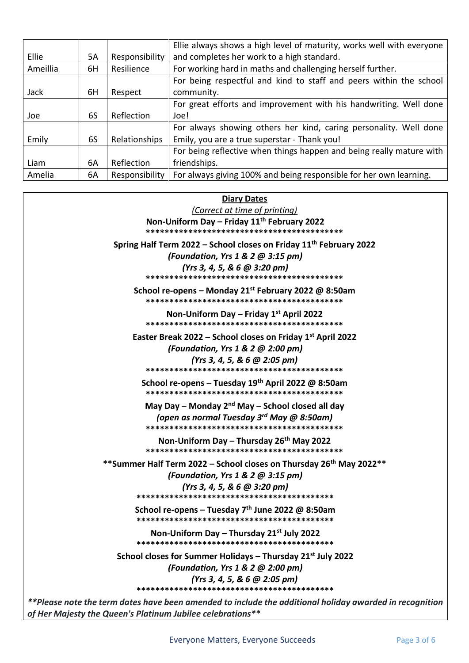|          |    |                | Ellie always shows a high level of maturity, works well with everyone |  |  |  |
|----------|----|----------------|-----------------------------------------------------------------------|--|--|--|
| Ellie    | 5А | Responsibility | and completes her work to a high standard.                            |  |  |  |
| Ameillia | 6H | Resilience     | For working hard in maths and challenging herself further.            |  |  |  |
|          |    |                | For being respectful and kind to staff and peers within the school    |  |  |  |
| Jack     | 6H | Respect        | community.                                                            |  |  |  |
|          |    |                | For great efforts and improvement with his handwriting. Well done     |  |  |  |
| Joe      | 6S | Reflection     | Joe!                                                                  |  |  |  |
|          |    |                | For always showing others her kind, caring personality. Well done     |  |  |  |
| Emily    | 6S | Relationships  | Emily, you are a true superstar - Thank you!                          |  |  |  |
|          |    |                | For being reflective when things happen and being really mature with  |  |  |  |
| Liam     | 6А | Reflection     | friendships.                                                          |  |  |  |
| Amelia   | 6A | Responsibility | For always giving 100% and being responsible for her own learning.    |  |  |  |

| <b>Diary Dates</b><br>(Correct at time of printing)<br>Non-Uniform Day - Friday 11 <sup>th</sup> February 2022                                                |
|---------------------------------------------------------------------------------------------------------------------------------------------------------------|
| Spring Half Term 2022 – School closes on Friday $11th$ February 2022<br>(Foundation, Yrs 1 & 2 @ 3:15 pm)<br>$(Yrs 3, 4, 5, 8, 6, \emptyset 3:20 \text{ pm})$ |
| School re-opens – Monday 21st February 2022 @ 8:50am                                                                                                          |
| Non-Uniform Day – Friday $1^{st}$ April 2022                                                                                                                  |
| Easter Break 2022 – School closes on Friday $1st$ April 2022<br>(Foundation, Yrs 1 & 2 @ 2:00 pm)<br>(Yrs 3, 4, 5, & 6 @ 2:05 pm)                             |
| School re-opens - Tuesday 19th April 2022 @ 8:50am                                                                                                            |
| May Day – Monday $2^{nd}$ May – School closed all day<br>(open as normal Tuesday 3 <sup>rd</sup> May @ 8:50am)                                                |
| Non-Uniform Day – Thursday 26 <sup>th</sup> May 2022                                                                                                          |
| **Summer Half Term 2022 – School closes on Thursday 26 <sup>th</sup> May 2022**<br>(Foundation, Yrs 1 & 2 @ 3:15 pm)<br>(Yrs 3, 4, 5, & 6 $@$ 3:20 pm)        |
| School re-opens – Tuesday $7th$ June 2022 @ 8:50am                                                                                                            |
| Non-Uniform Day – Thursday $21^{st}$ July 2022                                                                                                                |
| School closes for Summer Holidays - Thursday 21 <sup>st</sup> July 2022<br>(Foundation, Yrs 1 & 2 @ 2:00 pm)<br>(Yrs 3, 4, 5, & 6 @ 2:05 pm)                  |
| **Please note the term dates have been amended to include the additional holiday awarded in recognition                                                       |

*of Her Majesty the Queen's Platinum Jubilee celebrations\*\**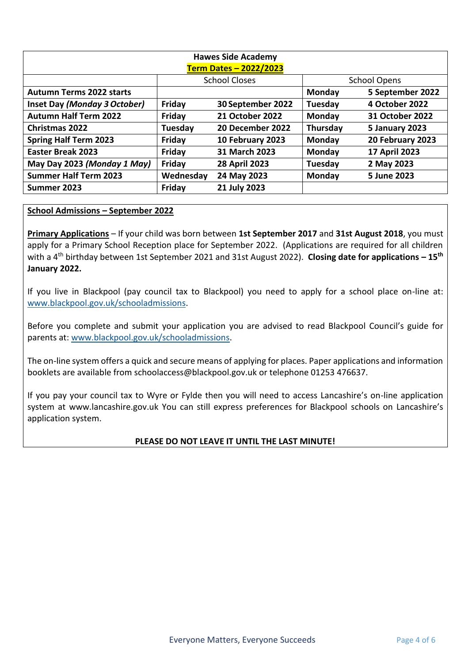| <b>Hawes Side Academy</b>       |           |                        |                     |                  |  |  |  |  |  |
|---------------------------------|-----------|------------------------|---------------------|------------------|--|--|--|--|--|
| <b>Term Dates - 2022/2023</b>   |           |                        |                     |                  |  |  |  |  |  |
|                                 |           | <b>School Closes</b>   | <b>School Opens</b> |                  |  |  |  |  |  |
| <b>Autumn Terms 2022 starts</b> |           |                        | Monday              | 5 September 2022 |  |  |  |  |  |
| Inset Day (Monday 3 October)    | Friday    | 30 September 2022      | Tuesday             | 4 October 2022   |  |  |  |  |  |
| <b>Autumn Half Term 2022</b>    | Friday    | <b>21 October 2022</b> | <b>Monday</b>       | 31 October 2022  |  |  |  |  |  |
| <b>Christmas 2022</b>           | Tuesday   | 20 December 2022       | Thursday            | 5 January 2023   |  |  |  |  |  |
| <b>Spring Half Term 2023</b>    | Friday    | 10 February 2023       | <b>Monday</b>       | 20 February 2023 |  |  |  |  |  |
| <b>Easter Break 2023</b>        | Friday    | 31 March 2023          | Monday              | 17 April 2023    |  |  |  |  |  |
| May Day 2023 (Monday 1 May)     | Friday    | <b>28 April 2023</b>   | Tuesday             | 2 May 2023       |  |  |  |  |  |
| <b>Summer Half Term 2023</b>    | Wednesday | 24 May 2023            | Monday              | 5 June 2023      |  |  |  |  |  |
| Summer 2023                     | Friday    | 21 July 2023           |                     |                  |  |  |  |  |  |

### **School Admissions – September 2022**

**Primary Applications** – If your child was born between **1st September 2017** and **31st August 2018**, you must apply for a Primary School Reception place for September 2022. (Applications are required for all children with a 4th birthday between 1st September 2021 and 31st August 2022). **Closing date for applications – 15th January 2022.**

If you live in Blackpool (pay council tax to Blackpool) you need to apply for a school place on-line at: [www.blackpool.gov.uk/schooladmissions.](http://www.blackpool.gov.uk/schooladmissions)

Before you complete and submit your application you are advised to read Blackpool Council's guide for parents at: [www.blackpool.gov.uk/schooladmissions.](http://www.blackpool.gov.uk/schooladmissions)

The on-line system offers a quick and secure means of applying for places. Paper applications and information booklets are available from schoolaccess@blackpool.gov.uk or telephone 01253 476637.

If you pay your council tax to Wyre or Fylde then you will need to access Lancashire's on-line application system at www.lancashire.gov.uk You can still express preferences for Blackpool schools on Lancashire's application system.

### **PLEASE DO NOT LEAVE IT UNTIL THE LAST MINUTE!**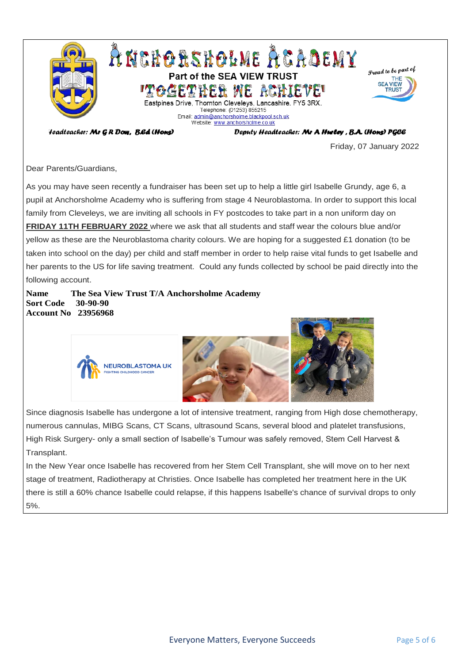

'teadteacher: Mr G R Dow, B.Ed (Hons)

Deputy Headteacher: Mr A Hurley, B.A. (Hons) PGCE

Friday, 07 January 2022

Dear Parents/Guardians,

As you may have seen recently a fundraiser has been set up to help a little girl Isabelle Grundy, age 6, a pupil at Anchorsholme Academy who is suffering from stage 4 Neuroblastoma. In order to support this local family from Cleveleys, we are inviting all schools in FY postcodes to take part in a non uniform day on **FRIDAY 11TH FEBRUARY 2022** where we ask that all students and staff wear the colours blue and/or yellow as these are the Neuroblastoma charity colours. We are hoping for a suggested £1 donation (to be taken into school on the day) per child and staff member in order to help raise vital funds to get Isabelle and her parents to the US for life saving treatment. Could any funds collected by school be paid directly into the following account.

**Name The Sea View Trust T/A Anchorsholme Academy Sort Code 30-90-90 Account No 23956968**



Since diagnosis Isabelle has undergone a lot of intensive treatment, ranging from High dose chemotherapy, numerous cannulas, MIBG Scans, CT Scans, ultrasound Scans, several blood and platelet transfusions, High Risk Surgery- only a small section of Isabelle's Tumour was safely removed, Stem Cell Harvest & Transplant.

In the New Year once Isabelle has recovered from her Stem Cell Transplant, she will move on to her next stage of treatment, Radiotherapy at Christies. Once Isabelle has completed her treatment here in the UK there is still a 60% chance Isabelle could relapse, if this happens Isabelle's chance of survival drops to only 5%.